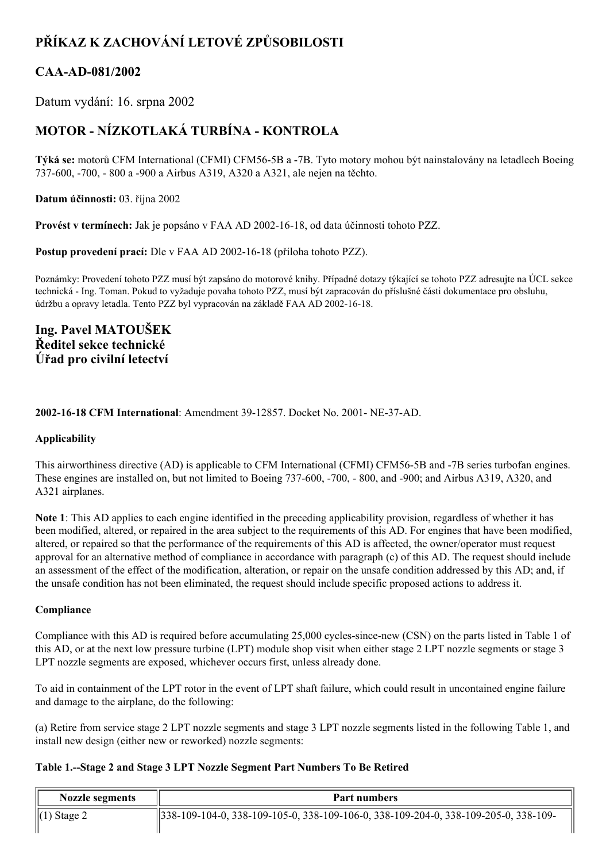# **PŘÍKAZ K ZACHOVÁNÍ LETOVÉ ZPŮSOBILOSTI**

## **CAAAD081/2002**

Datum vydání: 16. srpna 2002

# **MOTOR NÍZKOTLAKÁ TURBÍNA KONTROLA**

Týká se: motorů CFM International (CFMI) CFM56-5B a -7B. Tyto motory mohou být nainstalovány na letadlech Boeing 737600, 700, 800 a 900 a Airbus A319, A320 a A321, ale nejen na těchto.

**Datum účinnosti:** 03. října 2002

**Provést v termínech:** Jak je popsáno v FAA AD 2002-16-18, od data účinnosti tohoto PZZ.

**Postup provedení prací:** Dle v FAA AD 2002-16-18 (příloha tohoto PZZ).

Poznámky: Provedení tohoto PZZ musí být zapsáno do motorové knihy. Případné dotazy týkající se tohoto PZZ adresujte na ÚCL sekce technická - Ing. Toman. Pokud to vyžaduje povaha tohoto PZZ, musí být zapracován do příslušné části dokumentace pro obsluhu, údržbu a opravy letadla. Tento PZZ byl vypracován na základě FAA AD 2002-16-18.

## **Ing. Pavel MATOUŠEK Ředitel sekce technické Úřad pro civilní letectví**

**2002-16-18 CFM International:** Amendment 39-12857. Docket No. 2001- NE-37-AD.

### **Applicability**

This airworthiness directive (AD) is applicable to CFM International (CFMI) CFM56-5B and -7B series turbofan engines. These engines are installed on, but not limited to Boeing 737600, 700, 800, and 900; and Airbus A319, A320, and A321 airplanes.

**Note 1**: This AD applies to each engine identified in the preceding applicability provision, regardless of whether it has been modified, altered, or repaired in the area subject to the requirements of this AD. For engines that have been modified, altered, or repaired so that the performance of the requirements of this AD is affected, the owner/operator must request approval for an alternative method of compliance in accordance with paragraph (c) of this AD. The request should include an assessment of the effect of the modification, alteration, or repair on the unsafe condition addressed by this AD; and, if the unsafe condition has not been eliminated, the request should include specific proposed actions to address it.

#### **Compliance**

Compliance with this AD is required before accumulating 25,000 cycles-since-new (CSN) on the parts listed in Table 1 of this AD, or at the next low pressure turbine (LPT) module shop visit when either stage 2 LPT nozzle segments or stage 3 LPT nozzle segments are exposed, whichever occurs first, unless already done.

To aid in containment of the LPT rotor in the event of LPT shaft failure, which could result in uncontained engine failure and damage to the airplane, do the following:

(a) Retire from service stage 2 LPT nozzle segments and stage 3 LPT nozzle segments listed in the following Table 1, and install new design (either new or reworked) nozzle segments:

#### **Table 1.Stage 2 and Stage 3 LPT Nozzle Segment Part Numbers To Be Retired**

| <b>Nozzle segments</b> | Part numbers                                                                                    |
|------------------------|-------------------------------------------------------------------------------------------------|
| $\ $ (1) Stage 2       | $\parallel$ 338-109-104-0, 338-109-105-0, 338-109-106-0, 338-109-204-0, 338-109-205-0, 338-109- |